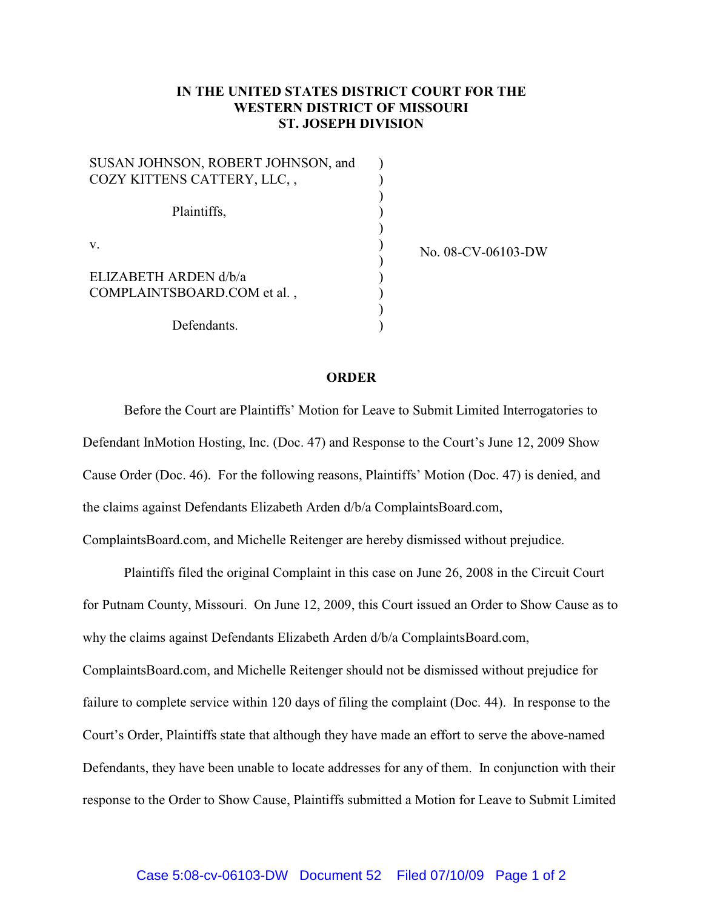## **IN THE UNITED STATES DISTRICT COURT FOR THE WESTERN DISTRICT OF MISSOURI ST. JOSEPH DIVISION**

| SUSAN JOHNSON, ROBERT JOHNSON, and |  |
|------------------------------------|--|
| COZY KITTENS CATTERY, LLC,,        |  |
|                                    |  |
| Plaintiffs,                        |  |
|                                    |  |
| V.                                 |  |
|                                    |  |
| ELIZABETH ARDEN d/b/a              |  |
| COMPLAINTSBOARD.COM et al.,        |  |
|                                    |  |
| Defendants.                        |  |

No. 08-CV-06103-DW

## **ORDER**

Before the Court are Plaintiffs' Motion for Leave to Submit Limited Interrogatories to Defendant InMotion Hosting, Inc. (Doc. 47) and Response to the Court's June 12, 2009 Show Cause Order (Doc. 46). For the following reasons, Plaintiffs' Motion (Doc. 47) is denied, and the claims against Defendants Elizabeth Arden d/b/a ComplaintsBoard.com,

ComplaintsBoard.com, and Michelle Reitenger are hereby dismissed without prejudice.

Plaintiffs filed the original Complaint in this case on June 26, 2008 in the Circuit Court for Putnam County, Missouri. On June 12, 2009, this Court issued an Order to Show Cause as to why the claims against Defendants Elizabeth Arden d/b/a ComplaintsBoard.com, ComplaintsBoard.com, and Michelle Reitenger should not be dismissed without prejudice for failure to complete service within 120 days of filing the complaint (Doc. 44). In response to the Court's Order, Plaintiffs state that although they have made an effort to serve the above-named Defendants, they have been unable to locate addresses for any of them. In conjunction with their response to the Order to Show Cause, Plaintiffs submitted a Motion for Leave to Submit Limited